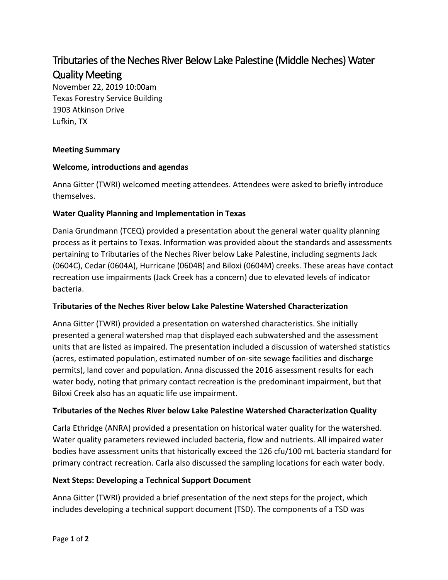# Tributaries of the Neches River Below Lake Palestine (Middle Neches) Water Quality Meeting

November 22, 2019 10:00am Texas Forestry Service Building 1903 Atkinson Drive Lufkin, TX

## **Meeting Summary**

## **Welcome, introductions and agendas**

Anna Gitter (TWRI) welcomed meeting attendees. Attendees were asked to briefly introduce themselves.

## **Water Quality Planning and Implementation in Texas**

Dania Grundmann (TCEQ) provided a presentation about the general water quality planning process as it pertains to Texas. Information was provided about the standards and assessments pertaining to Tributaries of the Neches River below Lake Palestine, including segments Jack (0604C), Cedar (0604A), Hurricane (0604B) and Biloxi (0604M) creeks. These areas have contact recreation use impairments (Jack Creek has a concern) due to elevated levels of indicator bacteria.

# **Tributaries of the Neches River below Lake Palestine Watershed Characterization**

Anna Gitter (TWRI) provided a presentation on watershed characteristics. She initially presented a general watershed map that displayed each subwatershed and the assessment units that are listed as impaired. The presentation included a discussion of watershed statistics (acres, estimated population, estimated number of on-site sewage facilities and discharge permits), land cover and population. Anna discussed the 2016 assessment results for each water body, noting that primary contact recreation is the predominant impairment, but that Biloxi Creek also has an aquatic life use impairment.

#### **Tributaries of the Neches River below Lake Palestine Watershed Characterization Quality**

Carla Ethridge (ANRA) provided a presentation on historical water quality for the watershed. Water quality parameters reviewed included bacteria, flow and nutrients. All impaired water bodies have assessment units that historically exceed the 126 cfu/100 mL bacteria standard for primary contract recreation. Carla also discussed the sampling locations for each water body.

# **Next Steps: Developing a Technical Support Document**

Anna Gitter (TWRI) provided a brief presentation of the next steps for the project, which includes developing a technical support document (TSD). The components of a TSD was